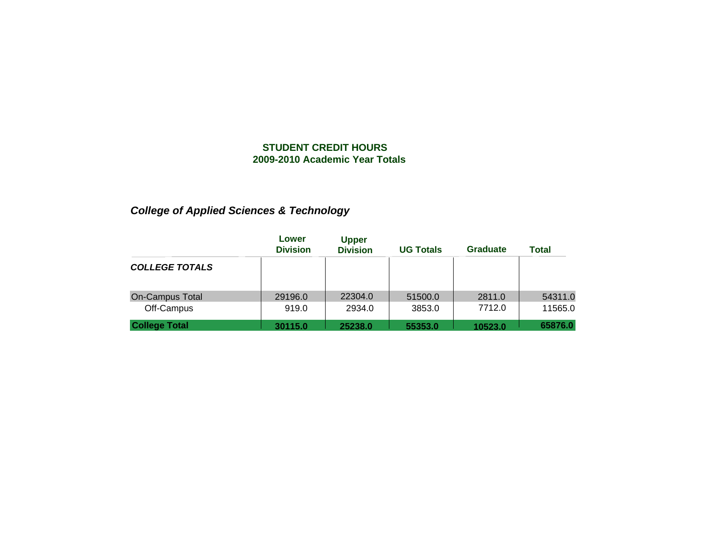# *College of Applied Sciences & Technology*

|                                      | Lower<br><b>Division</b> | <b>Upper</b><br><b>Division</b> | <b>UG Totals</b>  | Graduate         | Total              |
|--------------------------------------|--------------------------|---------------------------------|-------------------|------------------|--------------------|
| <b>COLLEGE TOTALS</b>                |                          |                                 |                   |                  |                    |
| <b>On-Campus Total</b><br>Off-Campus | 29196.0<br>919.0         | 22304.0<br>2934.0               | 51500.0<br>3853.0 | 2811.0<br>7712.0 | 54311.0<br>11565.0 |
| <b>College Total</b>                 | 30115.0                  | 25238.0                         | 55353.0           | 10523.0          | 65876.0            |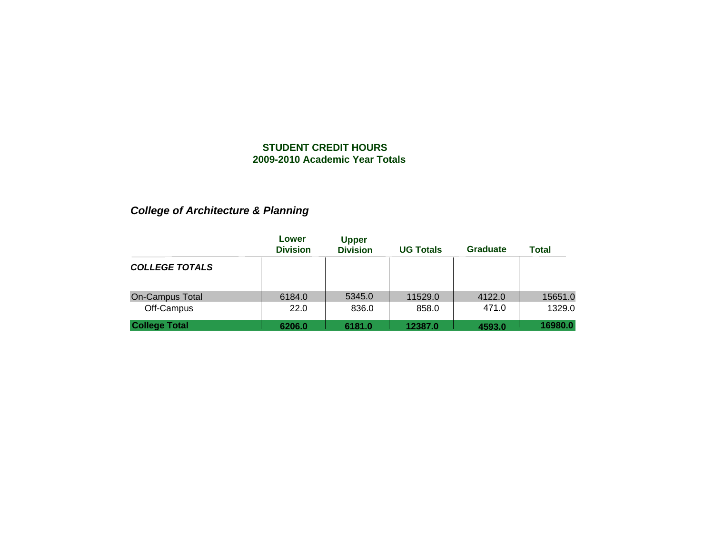# *College of Architecture & Planning*

|                                      | Lower<br><b>Division</b> | <b>Upper</b><br><b>Division</b> | <b>UG Totals</b> | <b>Graduate</b> | <b>Total</b>      |
|--------------------------------------|--------------------------|---------------------------------|------------------|-----------------|-------------------|
| <b>COLLEGE TOTALS</b>                |                          |                                 |                  |                 |                   |
| <b>On-Campus Total</b><br>Off-Campus | 6184.0<br>22.0           | 5345.0<br>836.0                 | 11529.0<br>858.0 | 4122.0<br>471.0 | 15651.0<br>1329.0 |
| <b>College Total</b>                 | 6206.0                   | 6181.0                          | 12387.0          | 4593.0          | 16980.0           |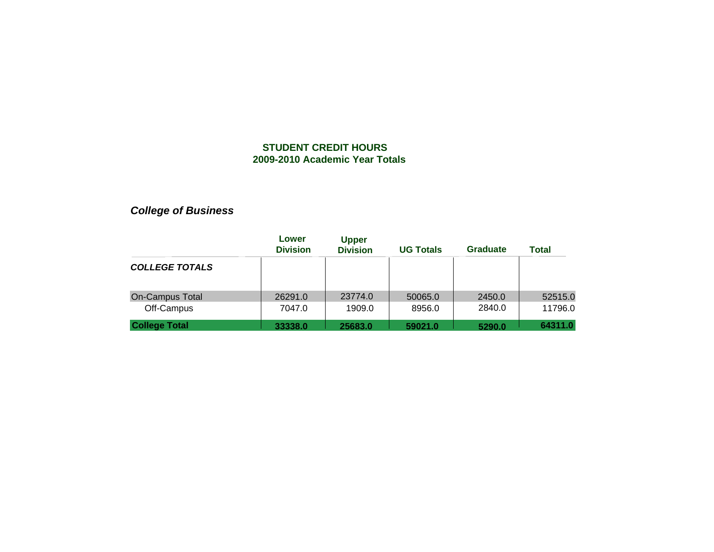# *College of Business*

|                                      | Lower<br><b>Division</b> | <b>Upper</b><br><b>Division</b> | <b>UG Totals</b>  | <b>Graduate</b>  | <b>Total</b>       |
|--------------------------------------|--------------------------|---------------------------------|-------------------|------------------|--------------------|
| <b>COLLEGE TOTALS</b>                |                          |                                 |                   |                  |                    |
| <b>On-Campus Total</b><br>Off-Campus | 26291.0<br>7047.0        | 23774.0<br>1909.0               | 50065.0<br>8956.0 | 2450.0<br>2840.0 | 52515.0<br>11796.0 |
| <b>College Total</b>                 | 33338.0                  | 25683.0                         | 59021.0           | 5290.0           | 64311.0            |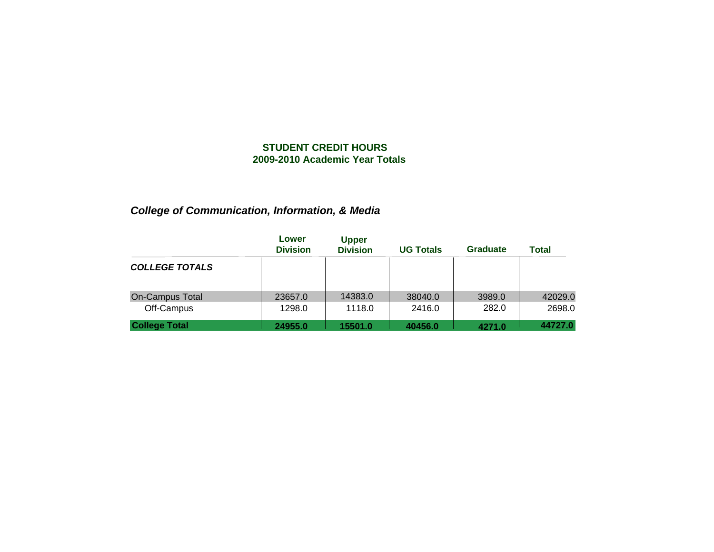# *College of Communication, Information, & Media*

|                                      | Lower<br><b>Division</b> | <b>Upper</b><br><b>Division</b> | <b>UG Totals</b>  | <b>Graduate</b> | Total             |
|--------------------------------------|--------------------------|---------------------------------|-------------------|-----------------|-------------------|
| <b>COLLEGE TOTALS</b>                |                          |                                 |                   |                 |                   |
| <b>On-Campus Total</b><br>Off-Campus | 23657.0<br>1298.0        | 14383.0<br>1118.0               | 38040.0<br>2416.0 | 3989.0<br>282.0 | 42029.0<br>2698.0 |
| <b>College Total</b>                 | 24955.0                  | 15501.0                         | 40456.0           | 4271.0          | 44727.0           |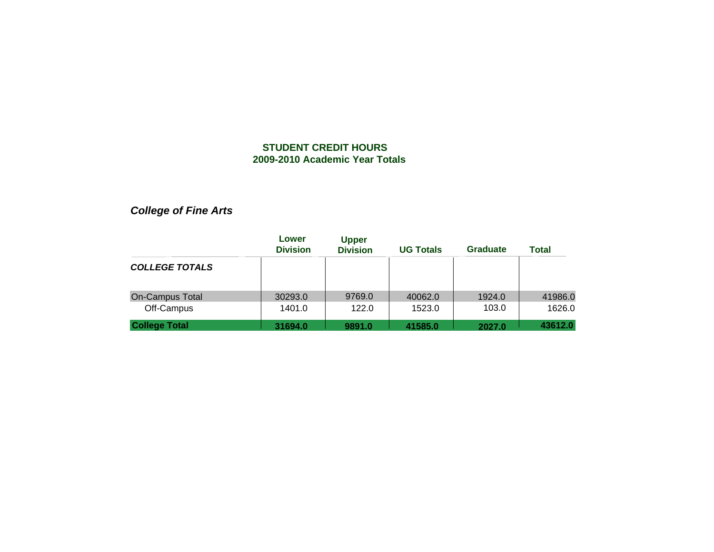*College of Fine Arts*

|                                      | Lower<br><b>Division</b> | <b>Upper</b><br><b>Division</b> | <b>UG Totals</b>  | Graduate        | Total             |
|--------------------------------------|--------------------------|---------------------------------|-------------------|-----------------|-------------------|
| <b>COLLEGE TOTALS</b>                |                          |                                 |                   |                 |                   |
| <b>On-Campus Total</b><br>Off-Campus | 30293.0<br>1401.0        | 9769.0<br>122.0                 | 40062.0<br>1523.0 | 1924.0<br>103.0 | 41986.0<br>1626.0 |
| <b>College Total</b>                 | 31694.0                  | 9891.0                          | 41585.0           | 2027.0          | 43612.0           |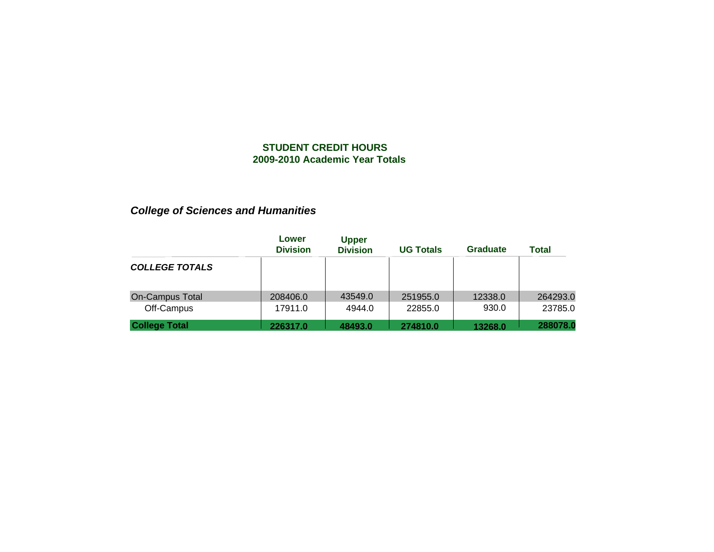# *College of Sciences and Humanities*

|                                      | Lower<br><b>Division</b> | <b>Upper</b><br><b>Division</b> | <b>UG Totals</b>    | <b>Graduate</b>  | <b>Total</b>        |
|--------------------------------------|--------------------------|---------------------------------|---------------------|------------------|---------------------|
| <b>COLLEGE TOTALS</b>                |                          |                                 |                     |                  |                     |
| <b>On-Campus Total</b><br>Off-Campus | 208406.0<br>17911.0      | 43549.0<br>4944.0               | 251955.0<br>22855.0 | 12338.0<br>930.0 | 264293.0<br>23785.0 |
| <b>College Total</b>                 | 226317.0                 | 48493.0                         | 274810.0            | 13268.0          | 288078.0            |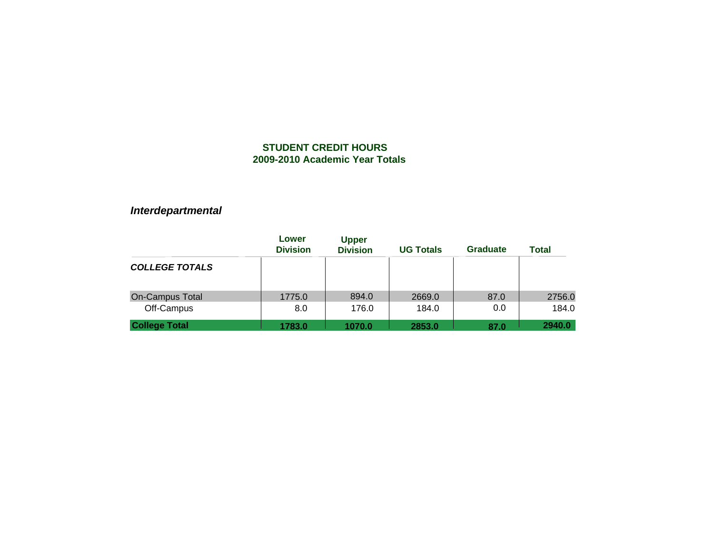# *Interdepartmental*

|                                      | Lower<br><b>Division</b> | <b>Upper</b><br><b>Division</b> | <b>UG Totals</b> | <b>Graduate</b> | <b>Total</b>    |
|--------------------------------------|--------------------------|---------------------------------|------------------|-----------------|-----------------|
| <b>COLLEGE TOTALS</b>                |                          |                                 |                  |                 |                 |
| <b>On-Campus Total</b><br>Off-Campus | 1775.0<br>8.0            | 894.0<br>176.0                  | 2669.0<br>184.0  | 87.0<br>0.0     | 2756.0<br>184.0 |
| <b>College Total</b>                 | 1783.0                   | 1070.0                          | 2853.0           | 87.0            | 2940.0          |